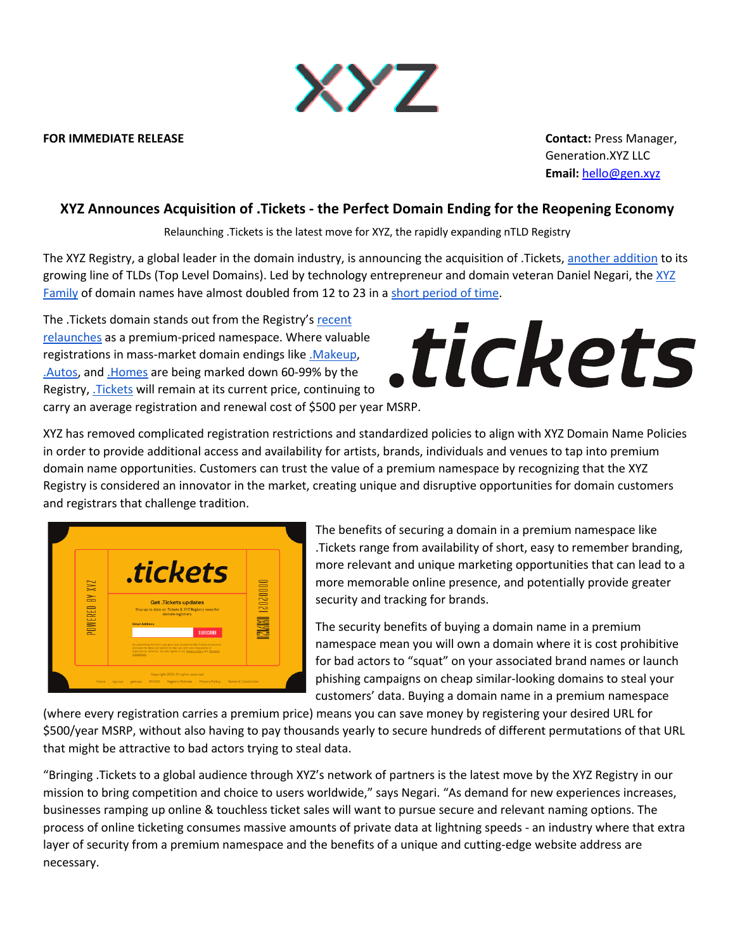

## **FOR IMMEDIATE RELEASE Contact:** Press Manager,

Generation.XYZ LLC **Email:** hello@gen.xyz

## **XYZ Announces Acquisition of .Tickets - the Perfect Domain Ending for the Reopening Economy**

Relaunching .Tickets is the latest move for XYZ, the rapidly expanding nTLD Registry

The XYZ Registry, a global leader in the domain industry, is announcing the acquisition of .Tickets, another addition to its growing line of TLDs (Top Level Domains). Led by technology entrepreneur and domain veteran Daniel Negari, the XYZ Family of domain names have almost doubled from 12 to 23 in a short period of time.

The .Tickets domain stands out from the Registry's recent relaunches as a premium-priced namespace. Where valuable registrations in mass-market domain endings like .Makeup, .Autos, and .Homes are being marked down 60-99% by the Registry, .Tickets will remain at its current price, continuing to carry an average registration and renewal cost of \$500 per year MSRP.

## tickets

XYZ has removed complicated registration restrictions and standardized policies to align with XYZ Domain Name Policies in order to provide additional access and availability for artists, brands, individuals and venues to tap into premium domain name opportunities. Customers can trust the value of a premium namespace by recognizing that the XYZ Registry is considered an innovator in the market, creating unique and disruptive opportunities for domain customers and registrars that challenge tradition.



The benefits of securing a domain in a premium namespace like .Tickets range from availability of short, easy to remember branding, more relevant and unique marketing opportunities that can lead to a more memorable online presence, and potentially provide greater security and tracking for brands.

The security benefits of buying a domain name in a premium namespace mean you will own a domain where it is cost prohibitive for bad actors to "squat" on your associated brand names or launch phishing campaigns on cheap similar-looking domains to steal your customers' data. Buying a domain name in a premium namespace

(where every registration carries a premium price) means you can save money by registering your desired URL for \$500/year MSRP, without also having to pay thousands yearly to secure hundreds of different permutations of that URL that might be attractive to bad actors trying to steal data.

"Bringing .Tickets to a global audience through XYZ's network of partners is the latest move by the XYZ Registry in our mission to bring competition and choice to users worldwide," says Negari. "As demand for new experiences increases, businesses ramping up online & touchless ticket sales will want to pursue secure and relevant naming options. The process of online ticketing consumes massive amounts of private data at lightning speeds - an industry where that extra layer of security from a premium namespace and the benefits of a unique and cutting-edge website address are necessary.